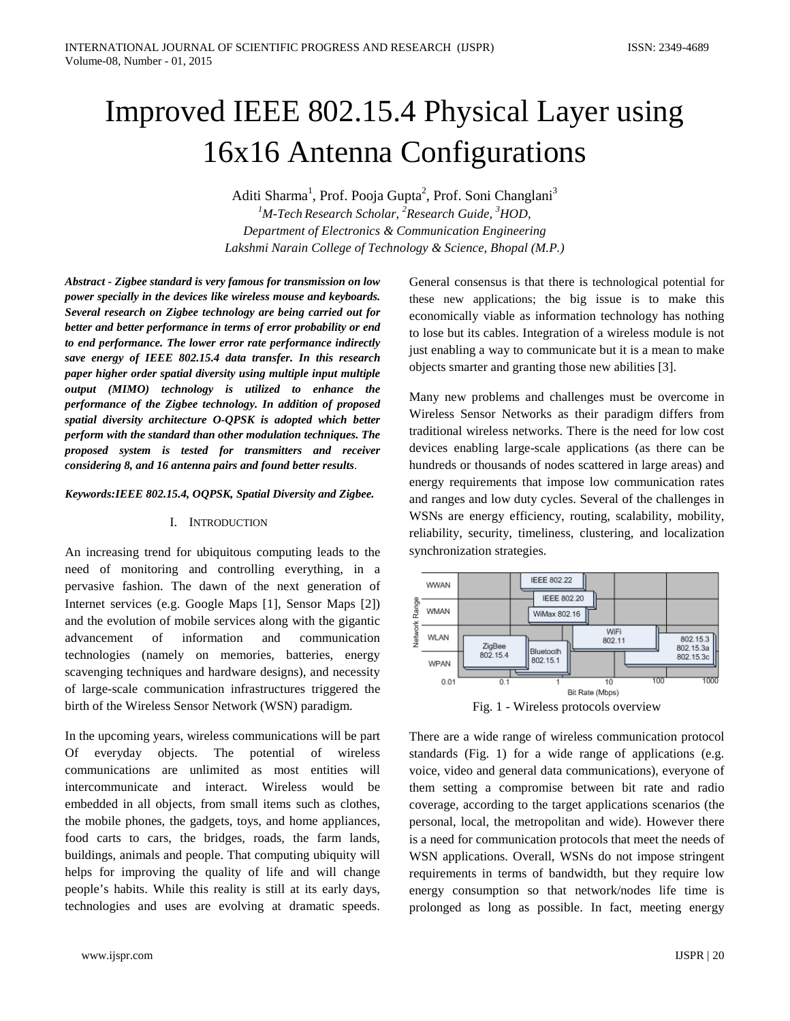# Improved IEEE 802.15.4 Physical Layer using 16x16 Antenna Configurations

Aditi Sharma<sup>1</sup>, Prof. Pooja Gupta<sup>2</sup>, Prof. Soni Changlani<sup>3</sup> *1 M-Tech Research Scholar, <sup>2</sup> Research Guide, <sup>3</sup> HOD, Department of Electronics & Communication Engineering Lakshmi Narain College of Technology & Science, Bhopal (M.P.)*

*Abstract - Zigbee standard is very famous for transmission on low power specially in the devices like wireless mouse and keyboards. Several research on Zigbee technology are being carried out for better and better performance in terms of error probability or end to end performance. The lower error rate performance indirectly save energy of IEEE 802.15.4 data transfer. In this research paper higher order spatial diversity using multiple input multiple output (MIMO) technology is utilized to enhance the performance of the Zigbee technology. In addition of proposed spatial diversity architecture O-QPSK is adopted which better perform with the standard than other modulation techniques. The proposed system is tested for transmitters and receiver considering 8, and 16 antenna pairs and found better results*.

## *Keywords:IEEE 802.15.4, OQPSK, Spatial Diversity and Zigbee.*

## I. INTRODUCTION

An increasing trend for ubiquitous computing leads to the need of monitoring and controlling everything, in a pervasive fashion. The dawn of the next generation of Internet services (e.g. Google Maps [1], Sensor Maps [2]) and the evolution of mobile services along with the gigantic advancement of information and communication technologies (namely on memories, batteries, energy scavenging techniques and hardware designs), and necessity of large-scale communication infrastructures triggered the birth of the Wireless Sensor Network (WSN) paradigm.

In the upcoming years, wireless communications will be part Of everyday objects. The potential of wireless communications are unlimited as most entities will intercommunicate and interact. Wireless would be embedded in all objects, from small items such as clothes, the mobile phones, the gadgets, toys, and home appliances, food carts to cars, the bridges, roads, the farm lands, buildings, animals and people. That computing ubiquity will helps for improving the quality of life and will change people's habits. While this reality is still at its early days, technologies and uses are evolving at dramatic speeds.

General consensus is that there is technological potential for these new applications; the big issue is to make this economically viable as information technology has nothing to lose but its cables. Integration of a wireless module is not just enabling a way to communicate but it is a mean to make objects smarter and granting those new abilities [3].

Many new problems and challenges must be overcome in Wireless Sensor Networks as their paradigm differs from traditional wireless networks. There is the need for low cost devices enabling large-scale applications (as there can be hundreds or thousands of nodes scattered in large areas) and energy requirements that impose low communication rates and ranges and low duty cycles. Several of the challenges in WSNs are energy efficiency, routing, scalability, mobility, reliability, security, timeliness, clustering, and localization synchronization strategies.



Fig. 1 - Wireless protocols overview

There are a wide range of wireless communication protocol standards (Fig. 1) for a wide range of applications (e.g. voice, video and general data communications), everyone of them setting a compromise between bit rate and radio coverage, according to the target applications scenarios (the personal, local, the metropolitan and wide). However there is a need for communication protocols that meet the needs of WSN applications. Overall, WSNs do not impose stringent requirements in terms of bandwidth, but they require low energy consumption so that network/nodes life time is prolonged as long as possible. In fact, meeting energy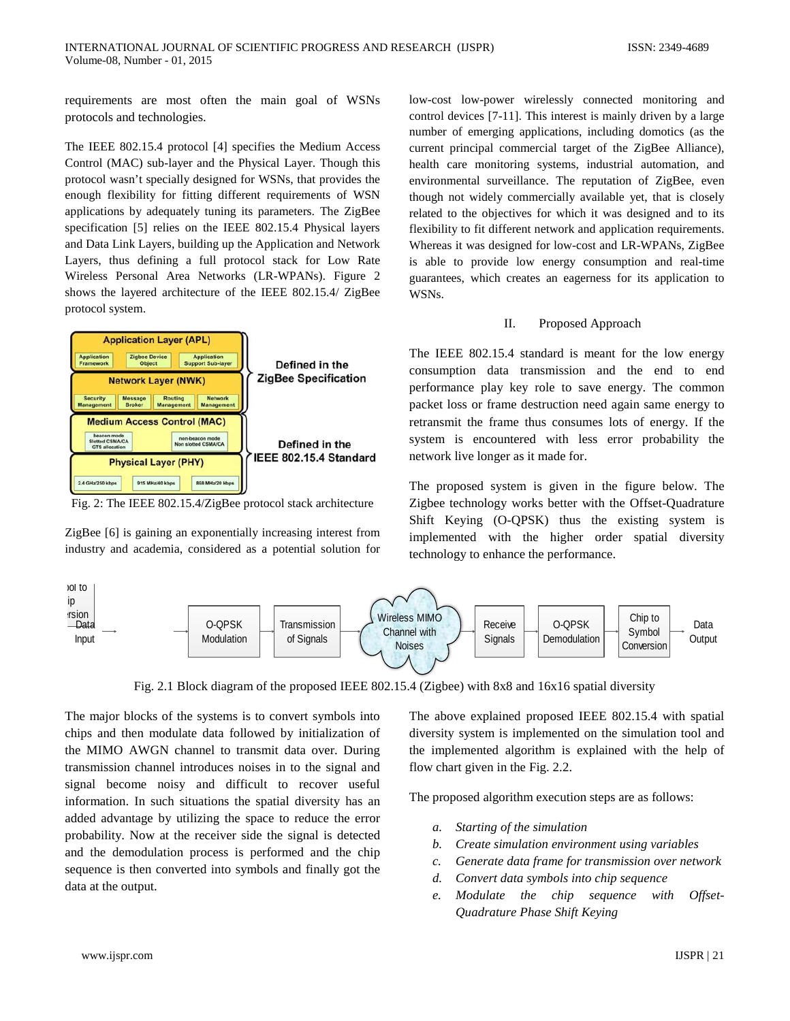requirements are most often the main goal of WSNs protocols and technologies.

The IEEE 802.15.4 protocol [4] specifies the Medium Access Control (MAC) sub-layer and the Physical Layer. Though this protocol wasn't specially designed for WSNs, that provides the enough flexibility for fitting different requirements of WSN applications by adequately tuning its parameters. The ZigBee specification [5] relies on the IEEE 802.15.4 Physical layers and Data Link Layers, building up the Application and Network Layers, thus defining a full protocol stack for Low Rate Wireless Personal Area Networks (LR-WPANs). Figure 2 shows the layered architecture of the IEEE 802.15.4/ ZigBee protocol system.



Fig. 2: The IEEE 802.15.4/ZigBee protocol stack architecture

ZigBee [6] is gaining an exponentially increasing interest from industry and academia, considered as a potential solution for

low-cost low-power wirelessly connected monitoring and control devices [7-11]. This interest is mainly driven by a large number of emerging applications, including domotics (as the current principal commercial target of the ZigBee Alliance), health care monitoring systems, industrial automation, and environmental surveillance. The reputation of ZigBee, even though not widely commercially available yet, that is closely related to the objectives for which it was designed and to its flexibility to fit different network and application requirements. Whereas it was designed for low-cost and LR-WPANs, ZigBee is able to provide low energy consumption and real-time guarantees, which creates an eagerness for its application to WSNs.

# II. Proposed Approach

The IEEE 802.15.4 standard is meant for the low energy consumption data transmission and the end to end performance play key role to save energy. The common packet loss or frame destruction need again same energy to retransmit the frame thus consumes lots of energy. If the system is encountered with less error probability the network live longer as it made for.

The proposed system is given in the figure below. The Zigbee technology works better with the Offset-Quadrature Shift Keying (O-QPSK) thus the existing system is implemented with the higher order spatial diversity technology to enhance the performance.



Fig. 2.1 Block diagram of the proposed IEEE 802.15.4 (Zigbee) with 8x8 and 16x16 spatial diversity

The major blocks of the systems is to convert symbols into chips and then modulate data followed by initialization of the MIMO AWGN channel to transmit data over. During transmission channel introduces noises in to the signal and signal become noisy and difficult to recover useful information. In such situations the spatial diversity has an added advantage by utilizing the space to reduce the error probability. Now at the receiver side the signal is detected and the demodulation process is performed and the chip sequence is then converted into symbols and finally got the data at the output.

The above explained proposed IEEE 802.15.4 with spatial diversity system is implemented on the simulation tool and the implemented algorithm is explained with the help of flow chart given in the Fig. 2.2.

The proposed algorithm execution steps are as follows:

- *a. Starting of the simulation*
- *b. Create simulation environment using variables*
- *c. Generate data frame for transmission over network*
- *d. Convert data symbols into chip sequence*
- *e. Modulate the chip sequence with Offset-Quadrature Phase Shift Keying*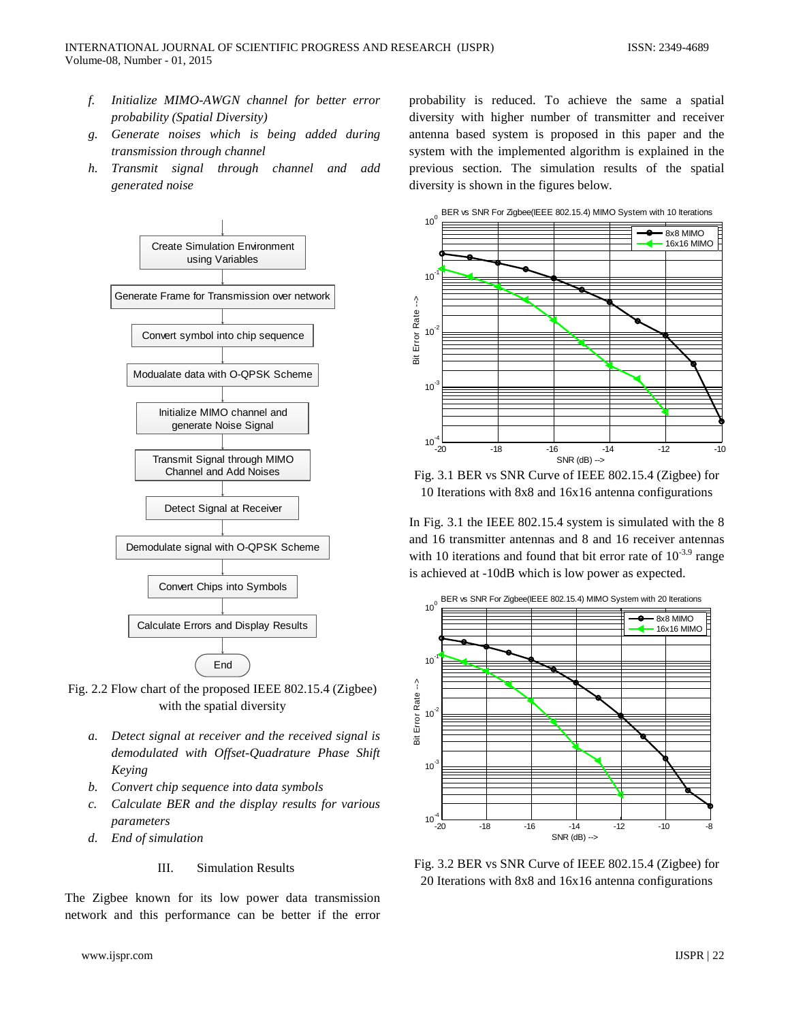- *f. Initialize MIMO-AWGN channel for better error probability (Spatial Diversity)*
- *g. Generate noises which is being added during transmission through channel*
- *h. Transmit signal through channel and add generated noise*



Fig. 2.2 Flow chart of the proposed IEEE 802.15.4 (Zigbee) with the spatial diversity

- *a. Detect signal at receiver and the received signal is demodulated with Offset-Quadrature Phase Shift Keying*
- *b. Convert chip sequence into data symbols*
- *c. Calculate BER and the display results for various parameters*
- *d. End of simulation*

#### III. Simulation Results

The Zigbee known for its low power data transmission network and this performance can be better if the error

probability is reduced. To achieve the same a spatial diversity with higher number of transmitter and receiver antenna based system is proposed in this paper and the system with the implemented algorithm is explained in the previous section. The simulation results of the spatial diversity is shown in the figures below.



Fig. 3.1 BER vs SNR Curve of IEEE 802.15.4 (Zigbee) for 10 Iterations with 8x8 and 16x16 antenna configurations

In Fig. 3.1 the IEEE 802.15.4 system is simulated with the 8 and 16 transmitter antennas and 8 and 16 receiver antennas with 10 iterations and found that bit error rate of  $10^{-3.9}$  range is achieved at -10dB which is low power as expected.



Fig. 3.2 BER vs SNR Curve of IEEE 802.15.4 (Zigbee) for 20 Iterations with 8x8 and 16x16 antenna configurations